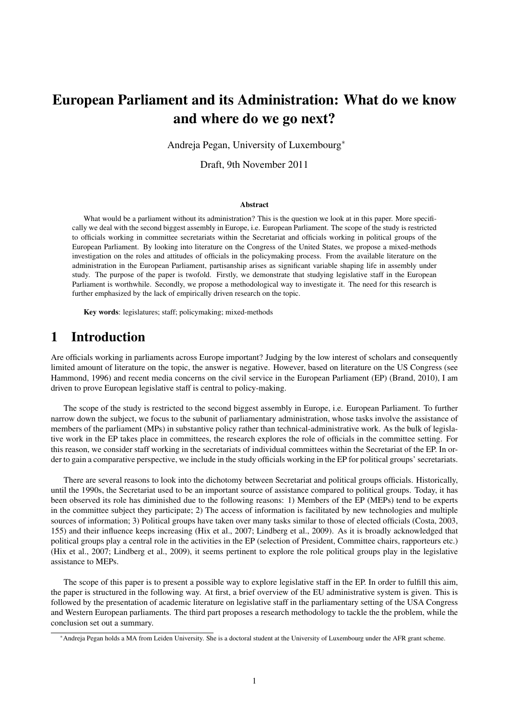# European Parliament and its Administration: What do we know and where do we go next?

Andreja Pegan, University of Luxembourg∗

Draft, 9th November 2011

#### Abstract

What would be a parliament without its administration? This is the question we look at in this paper. More specifically we deal with the second biggest assembly in Europe, i.e. European Parliament. The scope of the study is restricted to officials working in committee secretariats within the Secretariat and officials working in political groups of the European Parliament. By looking into literature on the Congress of the United States, we propose a mixed-methods investigation on the roles and attitudes of officials in the policymaking process. From the available literature on the administration in the European Parliament, partisanship arises as significant variable shaping life in assembly under study. The purpose of the paper is twofold. Firstly, we demonstrate that studying legislative staff in the European Parliament is worthwhile. Secondly, we propose a methodological way to investigate it. The need for this research is further emphasized by the lack of empirically driven research on the topic.

Key words: legislatures; staff; policymaking; mixed-methods

### 1 Introduction

Are officials working in parliaments across Europe important? Judging by the low interest of scholars and consequently limited amount of literature on the topic, the answer is negative. However, based on literature on the US Congress (see Hammond, 1996) and recent media concerns on the civil service in the European Parliament (EP) (Brand, 2010), I am driven to prove European legislative staff is central to policy-making.

The scope of the study is restricted to the second biggest assembly in Europe, i.e. European Parliament. To further narrow down the subject, we focus to the subunit of parliamentary administration, whose tasks involve the assistance of members of the parliament (MPs) in substantive policy rather than technical-administrative work. As the bulk of legislative work in the EP takes place in committees, the research explores the role of officials in the committee setting. For this reason, we consider staff working in the secretariats of individual committees within the Secretariat of the EP. In order to gain a comparative perspective, we include in the study officials working in the EP for political groups' secretariats.

There are several reasons to look into the dichotomy between Secretariat and political groups officials. Historically, until the 1990s, the Secretariat used to be an important source of assistance compared to political groups. Today, it has been observed its role has diminished due to the following reasons: 1) Members of the EP (MEPs) tend to be experts in the committee subject they participate; 2) The access of information is facilitated by new technologies and multiple sources of information; 3) Political groups have taken over many tasks similar to those of elected officials (Costa, 2003, 155) and their influence keeps increasing (Hix et al., 2007; Lindberg et al., 2009). As it is broadly acknowledged that political groups play a central role in the activities in the EP (selection of President, Committee chairs, rapporteurs etc.) (Hix et al., 2007; Lindberg et al., 2009), it seems pertinent to explore the role political groups play in the legislative assistance to MEPs.

The scope of this paper is to present a possible way to explore legislative staff in the EP. In order to fulfill this aim, the paper is structured in the following way. At first, a brief overview of the EU administrative system is given. This is followed by the presentation of academic literature on legislative staff in the parliamentary setting of the USA Congress and Western European parliaments. The third part proposes a research methodology to tackle the the problem, while the conclusion set out a summary.

<sup>∗</sup>Andreja Pegan holds a MA from Leiden University. She is a doctoral student at the University of Luxembourg under the AFR grant scheme.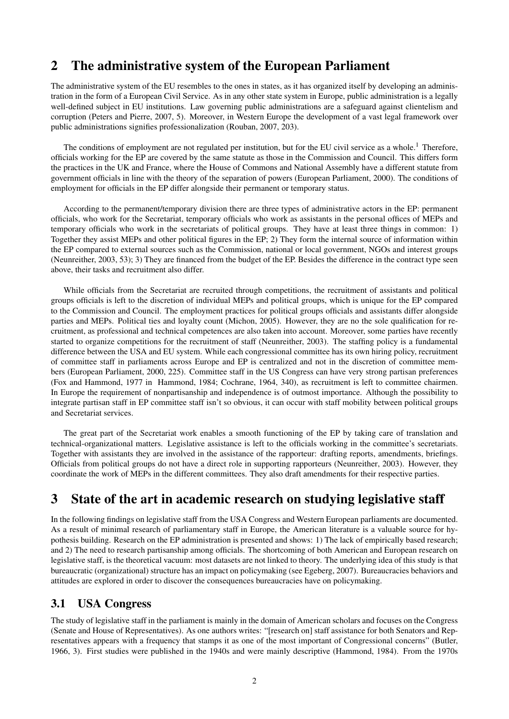# 2 The administrative system of the European Parliament

The administrative system of the EU resembles to the ones in states, as it has organized itself by developing an administration in the form of a European Civil Service. As in any other state system in Europe, public administration is a legally well-defined subject in EU institutions. Law governing public administrations are a safeguard against clientelism and corruption (Peters and Pierre, 2007, 5). Moreover, in Western Europe the development of a vast legal framework over public administrations signifies professionalization (Rouban, 2007, 203).

The conditions of employment are not regulated per institution, but for the EU civil service as a whole.<sup>1</sup> Therefore, officials working for the EP are covered by the same statute as those in the Commission and Council. This differs form the practices in the UK and France, where the House of Commons and National Assembly have a different statute from government officials in line with the theory of the separation of powers (European Parliament, 2000). The conditions of employment for officials in the EP differ alongside their permanent or temporary status.

According to the permanent/temporary division there are three types of administrative actors in the EP: permanent officials, who work for the Secretariat, temporary officials who work as assistants in the personal offices of MEPs and temporary officials who work in the secretariats of political groups. They have at least three things in common: 1) Together they assist MEPs and other political figures in the EP; 2) They form the internal source of information within the EP compared to external sources such as the Commission, national or local government, NGOs and interest groups (Neunreither, 2003, 53); 3) They are financed from the budget of the EP. Besides the difference in the contract type seen above, their tasks and recruitment also differ.

While officials from the Secretariat are recruited through competitions, the recruitment of assistants and political groups officials is left to the discretion of individual MEPs and political groups, which is unique for the EP compared to the Commission and Council. The employment practices for political groups officials and assistants differ alongside parties and MEPs. Political ties and loyalty count (Michon, 2005). However, they are no the sole qualification for recruitment, as professional and technical competences are also taken into account. Moreover, some parties have recently started to organize competitions for the recruitment of staff (Neunreither, 2003). The staffing policy is a fundamental difference between the USA and EU system. While each congressional committee has its own hiring policy, recruitment of committee staff in parliaments across Europe and EP is centralized and not in the discretion of committee members (European Parliament, 2000, 225). Committee staff in the US Congress can have very strong partisan preferences (Fox and Hammond, 1977 in Hammond, 1984; Cochrane, 1964, 340), as recruitment is left to committee chairmen. In Europe the requirement of nonpartisanship and independence is of outmost importance. Although the possibility to integrate partisan staff in EP committee staff isn't so obvious, it can occur with staff mobility between political groups and Secretariat services.

The great part of the Secretariat work enables a smooth functioning of the EP by taking care of translation and technical-organizational matters. Legislative assistance is left to the officials working in the committee's secretariats. Together with assistants they are involved in the assistance of the rapporteur: drafting reports, amendments, briefings. Officials from political groups do not have a direct role in supporting rapporteurs (Neunreither, 2003). However, they coordinate the work of MEPs in the different committees. They also draft amendments for their respective parties.

# 3 State of the art in academic research on studying legislative staff

In the following findings on legislative staff from the USA Congress and Western European parliaments are documented. As a result of minimal research of parliamentary staff in Europe, the American literature is a valuable source for hypothesis building. Research on the EP administration is presented and shows: 1) The lack of empirically based research; and 2) The need to research partisanship among officials. The shortcoming of both American and European research on legislative staff, is the theoretical vacuum: most datasets are not linked to theory. The underlying idea of this study is that bureaucratic (organizational) structure has an impact on policymaking (see Egeberg, 2007). Bureaucracies behaviors and attitudes are explored in order to discover the consequences bureaucracies have on policymaking.

### 3.1 USA Congress

The study of legislative staff in the parliament is mainly in the domain of American scholars and focuses on the Congress (Senate and House of Representatives). As one authors writes: "[research on] staff assistance for both Senators and Representatives appears with a frequency that stamps it as one of the most important of Congressional concerns" (Butler, 1966, 3). First studies were published in the 1940s and were mainly descriptive (Hammond, 1984). From the 1970s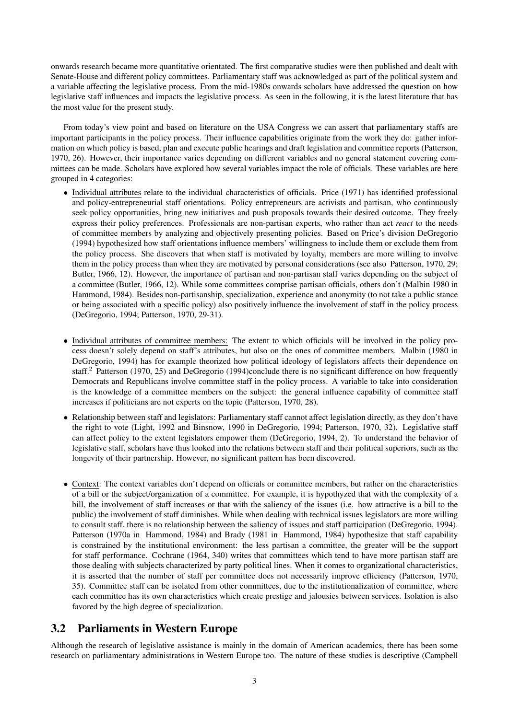onwards research became more quantitative orientated. The first comparative studies were then published and dealt with Senate-House and different policy committees. Parliamentary staff was acknowledged as part of the political system and a variable affecting the legislative process. From the mid-1980s onwards scholars have addressed the question on how legislative staff influences and impacts the legislative process. As seen in the following, it is the latest literature that has the most value for the present study.

From today's view point and based on literature on the USA Congress we can assert that parliamentary staffs are important participants in the policy process. Their influence capabilities originate from the work they do: gather information on which policy is based, plan and execute public hearings and draft legislation and committee reports (Patterson, 1970, 26). However, their importance varies depending on different variables and no general statement covering committees can be made. Scholars have explored how several variables impact the role of officials. These variables are here grouped in 4 categories:

- Individual attributes relate to the individual characteristics of officials. Price (1971) has identified professional and policy-entrepreneurial staff orientations. Policy entrepreneurs are activists and partisan, who continuously seek policy opportunities, bring new initiatives and push proposals towards their desired outcome. They freely express their policy preferences. Professionals are non-partisan experts, who rather than act *react* to the needs of committee members by analyzing and objectively presenting policies. Based on Price's division DeGregorio (1994) hypothesized how staff orientations influence members' willingness to include them or exclude them from the policy process. She discovers that when staff is motivated by loyalty, members are more willing to involve them in the policy process than when they are motivated by personal considerations (see also Patterson, 1970, 29; Butler, 1966, 12). However, the importance of partisan and non-partisan staff varies depending on the subject of a committee (Butler, 1966, 12). While some committees comprise partisan officials, others don't (Malbin 1980 in Hammond, 1984). Besides non-partisanship, specialization, experience and anonymity (to not take a public stance or being associated with a specific policy) also positively influence the involvement of staff in the policy process (DeGregorio, 1994; Patterson, 1970, 29-31).
- Individual attributes of committee members: The extent to which officials will be involved in the policy process doesn't solely depend on staff's attributes, but also on the ones of committee members. Malbin (1980 in DeGregorio, 1994) has for example theorized how political ideology of legislators affects their dependence on staff.<sup>2</sup> Patterson (1970, 25) and DeGregorio (1994)conclude there is no significant difference on how frequently Democrats and Republicans involve committee staff in the policy process. A variable to take into consideration is the knowledge of a committee members on the subject: the general influence capability of committee staff increases if politicians are not experts on the topic (Patterson, 1970, 28).
- Relationship between staff and legislators: Parliamentary staff cannot affect legislation directly, as they don't have the right to vote (Light, 1992 and Binsnow, 1990 in DeGregorio, 1994; Patterson, 1970, 32). Legislative staff can affect policy to the extent legislators empower them (DeGregorio, 1994, 2). To understand the behavior of legislative staff, scholars have thus looked into the relations between staff and their political superiors, such as the longevity of their partnership. However, no significant pattern has been discovered.
- Context: The context variables don't depend on officials or committee members, but rather on the characteristics of a bill or the subject/organization of a committee. For example, it is hypothyzed that with the complexity of a bill, the involvement of staff increases or that with the saliency of the issues (i.e. how attractive is a bill to the public) the involvement of staff diminishes. While when dealing with technical issues legislators are more willing to consult staff, there is no relationship between the saliency of issues and staff participation (DeGregorio, 1994). Patterson (1970a in Hammond, 1984) and Brady (1981 in Hammond, 1984) hypothesize that staff capability is constrained by the institutional environment: the less partisan a committee, the greater will be the support for staff performance. Cochrane (1964, 340) writes that committees which tend to have more partisan staff are those dealing with subjects characterized by party political lines. When it comes to organizational characteristics, it is asserted that the number of staff per committee does not necessarily improve efficiency (Patterson, 1970, 35). Committee staff can be isolated from other committees, due to the institutionalization of committee, where each committee has its own characteristics which create prestige and jalousies between services. Isolation is also favored by the high degree of specialization.

### 3.2 Parliaments in Western Europe

Although the research of legislative assistance is mainly in the domain of American academics, there has been some research on parliamentary administrations in Western Europe too. The nature of these studies is descriptive (Campbell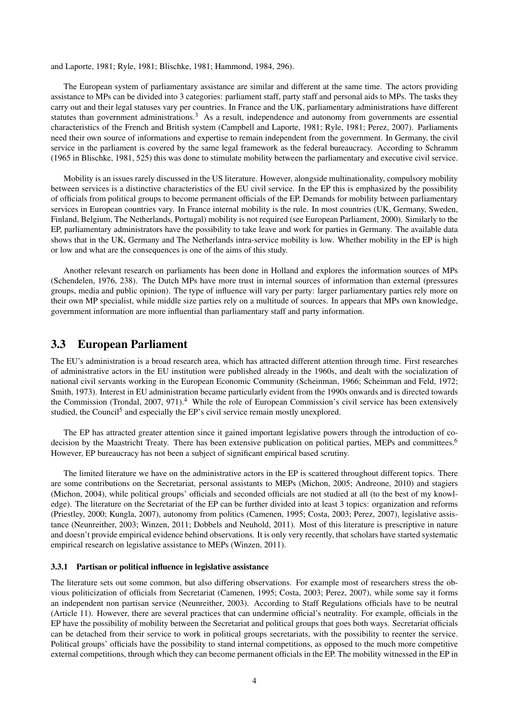and Laporte, 1981; Ryle, 1981; Blischke, 1981; Hammond, 1984, 296).

The European system of parliamentary assistance are similar and different at the same time. The actors providing assistance to MPs can be divided into 3 categories: parliament staff, party staff and personal aids to MPs. The tasks they carry out and their legal statuses vary per countries. In France and the UK, parliamentary administrations have different statutes than government administrations.<sup>3</sup> As a result, independence and autonomy from governments are essential characteristics of the French and British system (Campbell and Laporte, 1981; Ryle, 1981; Perez, 2007). Parliaments need their own source of informations and expertise to remain independent from the government. In Germany, the civil service in the parliament is covered by the same legal framework as the federal bureaucracy. According to Schramm (1965 in Blischke, 1981, 525) this was done to stimulate mobility between the parliamentary and executive civil service.

Mobility is an issues rarely discussed in the US literature. However, alongside multinationality, compulsory mobility between services is a distinctive characteristics of the EU civil service. In the EP this is emphasized by the possibility of officials from political groups to become permanent officials of the EP. Demands for mobility between parliamentary services in European countries vary. In France internal mobility is the rule. In most countries (UK, Germany, Sweden, Finland, Belgium, The Netherlands, Portugal) mobility is not required (see European Parliament, 2000). Similarly to the EP, parliamentary administrators have the possibility to take leave and work for parties in Germany. The available data shows that in the UK, Germany and The Netherlands intra-service mobility is low. Whether mobility in the EP is high or low and what are the consequences is one of the aims of this study.

Another relevant research on parliaments has been done in Holland and explores the information sources of MPs (Schendelen, 1976, 238). The Dutch MPs have more trust in internal sources of information than external (pressures groups, media and public opinion). The type of influence will vary per party: larger parliamentary parties rely more on their own MP specialist, while middle size parties rely on a multitude of sources. In appears that MPs own knowledge, government information are more influential than parliamentary staff and party information.

### 3.3 European Parliament

The EU's administration is a broad research area, which has attracted different attention through time. First researches of administrative actors in the EU institution were published already in the 1960s, and dealt with the socialization of national civil servants working in the European Economic Community (Scheinman, 1966; Scheinman and Feld, 1972; Smith, 1973). Interest in EU administration became particularly evident from the 1990s onwards and is directed towards the Commission (Trondal, 2007, 971).<sup>4</sup> While the role of European Commission's civil service has been extensively studied, the Council<sup>5</sup> and especially the EP's civil service remain mostly unexplored.

The EP has attracted greater attention since it gained important legislative powers through the introduction of codecision by the Maastricht Treaty. There has been extensive publication on political parties, MEPs and committees.<sup>6</sup> However, EP bureaucracy has not been a subject of significant empirical based scrutiny.

The limited literature we have on the administrative actors in the EP is scattered throughout different topics. There are some contributions on the Secretariat, personal assistants to MEPs (Michon, 2005; Andreone, 2010) and stagiers (Michon, 2004), while political groups' officials and seconded officials are not studied at all (to the best of my knowledge). The literature on the Secretariat of the EP can be further divided into at least 3 topics: organization and reforms (Priestley, 2000; Kungla, 2007), autonomy from politics (Camenen, 1995; Costa, 2003; Perez, 2007), legislative assistance (Neunreither, 2003; Winzen, 2011; Dobbels and Neuhold, 2011). Most of this literature is prescriptive in nature and doesn't provide empirical evidence behind observations. It is only very recently, that scholars have started systematic empirical research on legislative assistance to MEPs (Winzen, 2011).

### 3.3.1 Partisan or political influence in legislative assistance

The literature sets out some common, but also differing observations. For example most of researchers stress the obvious politicization of officials from Secretariat (Camenen, 1995; Costa, 2003; Perez, 2007), while some say it forms an independent non partisan service (Neunreither, 2003). According to Staff Regulations officials have to be neutral (Article 11). However, there are several practices that can undermine official's neutrality. For example, officials in the EP have the possibility of mobility between the Secretariat and political groups that goes both ways. Secretariat officials can be detached from their service to work in political groups secretariats, with the possibility to reenter the service. Political groups' officials have the possibility to stand internal competitions, as opposed to the much more competitive external competitions, through which they can become permanent officials in the EP. The mobility witnessed in the EP in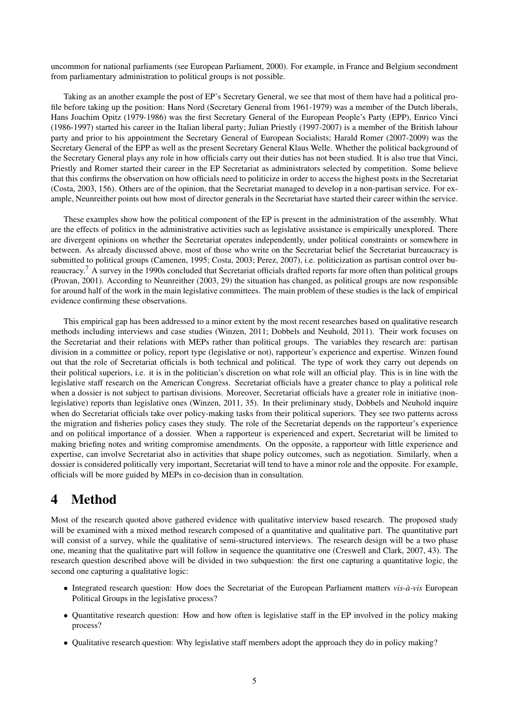uncommon for national parliaments (see European Parliament, 2000). For example, in France and Belgium secondment from parliamentary administration to political groups is not possible.

Taking as an another example the post of EP's Secretary General, we see that most of them have had a political profile before taking up the position: Hans Nord (Secretary General from 1961-1979) was a member of the Dutch liberals, Hans Joachim Opitz (1979-1986) was the first Secretary General of the European People's Party (EPP), Enrico Vinci (1986-1997) started his career in the Italian liberal party; Julian Priestly (1997-2007) is a member of the British labour party and prior to his appointment the Secretary General of European Socialists; Harald Romer (2007-2009) was the Secretary General of the EPP as well as the present Secretary General Klaus Welle. Whether the political background of the Secretary General plays any role in how officials carry out their duties has not been studied. It is also true that Vinci, Priestly and Romer started their career in the EP Secretariat as administrators selected by competition. Some believe that this confirms the observation on how officials need to politicize in order to access the highest posts in the Secretariat (Costa, 2003, 156). Others are of the opinion, that the Secretariat managed to develop in a non-partisan service. For example, Neunreither points out how most of director generals in the Secretariat have started their career within the service.

These examples show how the political component of the EP is present in the administration of the assembly. What are the effects of politics in the administrative activities such as legislative assistance is empirically unexplored. There are divergent opinions on whether the Secretariat operates independently, under political constraints or somewhere in between. As already discussed above, most of those who write on the Secretariat belief the Secretariat bureaucracy is submitted to political groups (Camenen, 1995; Costa, 2003; Perez, 2007), i.e. politicization as partisan control over bureaucracy.<sup>7</sup> A survey in the 1990s concluded that Secretariat officials drafted reports far more often than political groups (Provan, 2001). According to Neunreither (2003, 29) the situation has changed, as political groups are now responsible for around half of the work in the main legislative committees. The main problem of these studies is the lack of empirical evidence confirming these observations.

This empirical gap has been addressed to a minor extent by the most recent researches based on qualitative research methods including interviews and case studies (Winzen, 2011; Dobbels and Neuhold, 2011). Their work focuses on the Secretariat and their relations with MEPs rather than political groups. The variables they research are: partisan division in a committee or policy, report type (legislative or not), rapporteur's experience and expertise. Winzen found out that the role of Secretariat officials is both technical and political. The type of work they carry out depends on their political superiors, i.e. it is in the politician's discretion on what role will an official play. This is in line with the legislative staff research on the American Congress. Secretariat officials have a greater chance to play a political role when a dossier is not subject to partisan divisions. Moreover, Secretariat officials have a greater role in initiative (nonlegislative) reports than legislative ones (Winzen, 2011, 35). In their preliminary study, Dobbels and Neuhold inquire when do Secretariat officials take over policy-making tasks from their political superiors. They see two patterns across the migration and fisheries policy cases they study. The role of the Secretariat depends on the rapporteur's experience and on political importance of a dossier. When a rapporteur is experienced and expert, Secretariat will be limited to making briefing notes and writing compromise amendments. On the opposite, a rapporteur with little experience and expertise, can involve Secretariat also in activities that shape policy outcomes, such as negotiation. Similarly, when a dossier is considered politically very important, Secretariat will tend to have a minor role and the opposite. For example, officials will be more guided by MEPs in co-decision than in consultation.

# 4 Method

Most of the research quoted above gathered evidence with qualitative interview based research. The proposed study will be examined with a mixed method research composed of a quantitative and qualitative part. The quantitative part will consist of a survey, while the qualitative of semi-structured interviews. The research design will be a two phase one, meaning that the qualitative part will follow in sequence the quantitative one (Creswell and Clark, 2007, 43). The research question described above will be divided in two subquestion: the first one capturing a quantitative logic, the second one capturing a qualitative logic:

- Integrated research question: How does the Secretariat of the European Parliament matters *vis-à-vis* European Political Groups in the legislative process?
- Quantitative research question: How and how often is legislative staff in the EP involved in the policy making process?
- Qualitative research question: Why legislative staff members adopt the approach they do in policy making?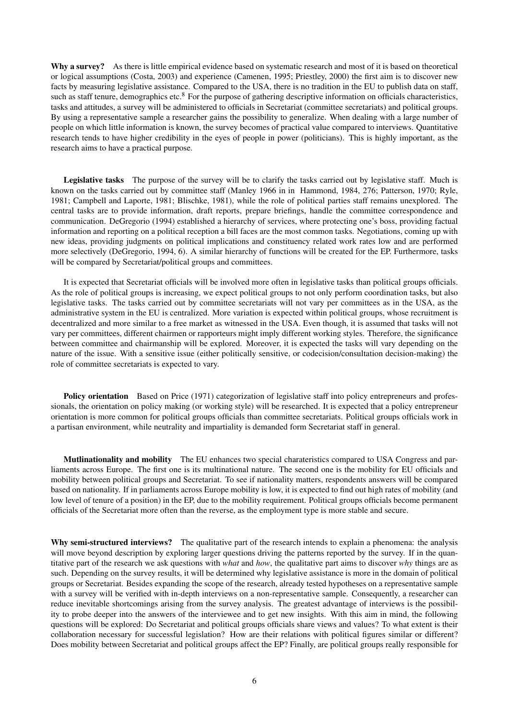Why a survey? As there is little empirical evidence based on systematic research and most of it is based on theoretical or logical assumptions (Costa, 2003) and experience (Camenen, 1995; Priestley, 2000) the first aim is to discover new facts by measuring legislative assistance. Compared to the USA, there is no tradition in the EU to publish data on staff, such as staff tenure, demographics etc.<sup>8</sup> For the purpose of gathering descriptive information on officials characteristics, tasks and attitudes, a survey will be administered to officials in Secretariat (committee secretariats) and political groups. By using a representative sample a researcher gains the possibility to generalize. When dealing with a large number of people on which little information is known, the survey becomes of practical value compared to interviews. Quantitative research tends to have higher credibility in the eyes of people in power (politicians). This is highly important, as the research aims to have a practical purpose.

Legislative tasks The purpose of the survey will be to clarify the tasks carried out by legislative staff. Much is known on the tasks carried out by committee staff (Manley 1966 in in Hammond, 1984, 276; Patterson, 1970; Ryle, 1981; Campbell and Laporte, 1981; Blischke, 1981), while the role of political parties staff remains unexplored. The central tasks are to provide information, draft reports, prepare briefings, handle the committee correspondence and communication. DeGregorio (1994) established a hierarchy of services, where protecting one's boss, providing factual information and reporting on a political reception a bill faces are the most common tasks. Negotiations, coming up with new ideas, providing judgments on political implications and constituency related work rates low and are performed more selectively (DeGregorio, 1994, 6). A similar hierarchy of functions will be created for the EP. Furthermore, tasks will be compared by Secretariat/political groups and committees.

It is expected that Secretariat officials will be involved more often in legislative tasks than political groups officials. As the role of political groups is increasing, we expect political groups to not only perform coordination tasks, but also legislative tasks. The tasks carried out by committee secretariats will not vary per committees as in the USA, as the administrative system in the EU is centralized. More variation is expected within political groups, whose recruitment is decentralized and more similar to a free market as witnessed in the USA. Even though, it is assumed that tasks will not vary per committees, different chairmen or rapporteurs might imply different working styles. Therefore, the significance between committee and chairmanship will be explored. Moreover, it is expected the tasks will vary depending on the nature of the issue. With a sensitive issue (either politically sensitive, or codecision/consultation decision-making) the role of committee secretariats is expected to vary.

Policy orientation Based on Price (1971) categorization of legislative staff into policy entrepreneurs and professionals, the orientation on policy making (or working style) will be researched. It is expected that a policy entrepreneur orientation is more common for political groups officials than committee secretariats. Political groups officials work in a partisan environment, while neutrality and impartiality is demanded form Secretariat staff in general.

Mutlinationality and mobility The EU enhances two special charateristics compared to USA Congress and parliaments across Europe. The first one is its multinational nature. The second one is the mobility for EU officials and mobility between political groups and Secretariat. To see if nationality matters, respondents answers will be compared based on nationality. If in parliaments across Europe mobility is low, it is expected to find out high rates of mobility (and low level of tenure of a position) in the EP, due to the mobility requirement. Political groups officials become permanent officials of the Secretariat more often than the reverse, as the employment type is more stable and secure.

Why semi-structured interviews? The qualitative part of the research intends to explain a phenomena: the analysis will move beyond description by exploring larger questions driving the patterns reported by the survey. If in the quantitative part of the research we ask questions with *what* and *how*, the qualitative part aims to discover *why* things are as such. Depending on the survey results, it will be determined why legislative assistance is more in the domain of political groups or Secretariat. Besides expanding the scope of the research, already tested hypotheses on a representative sample with a survey will be verified with in-depth interviews on a non-representative sample. Consequently, a researcher can reduce inevitable shortcomings arising from the survey analysis. The greatest advantage of interviews is the possibility to probe deeper into the answers of the interviewee and to get new insights. With this aim in mind, the following questions will be explored: Do Secretariat and political groups officials share views and values? To what extent is their collaboration necessary for successful legislation? How are their relations with political figures similar or different? Does mobility between Secretariat and political groups affect the EP? Finally, are political groups really responsible for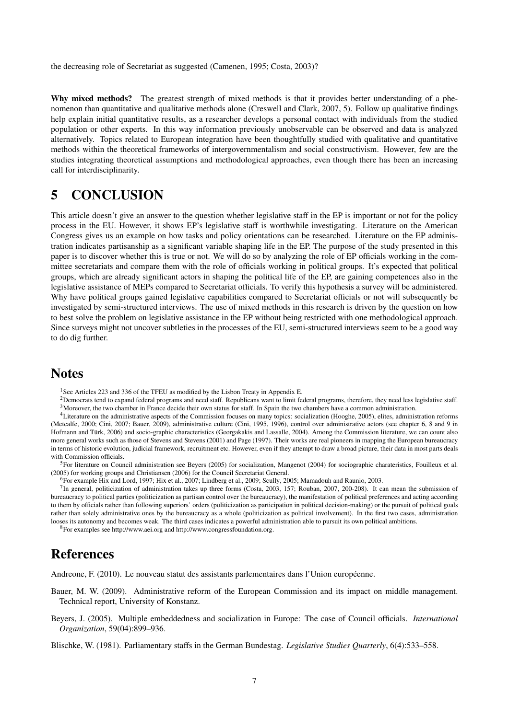the decreasing role of Secretariat as suggested (Camenen, 1995; Costa, 2003)?

Why mixed methods? The greatest strength of mixed methods is that it provides better understanding of a phenomenon than quantitative and qualitative methods alone (Creswell and Clark, 2007, 5). Follow up qualitative findings help explain initial quantitative results, as a researcher develops a personal contact with individuals from the studied population or other experts. In this way information previously unobservable can be observed and data is analyzed alternatively. Topics related to European integration have been thoughtfully studied with qualitative and quantitative methods within the theoretical frameworks of intergovernmentalism and social constructivism. However, few are the studies integrating theoretical assumptions and methodological approaches, even though there has been an increasing call for interdisciplinarity.

### 5 CONCLUSION

This article doesn't give an answer to the question whether legislative staff in the EP is important or not for the policy process in the EU. However, it shows EP's legislative staff is worthwhile investigating. Literature on the American Congress gives us an example on how tasks and policy orientations can be researched. Literature on the EP administration indicates partisanship as a significant variable shaping life in the EP. The purpose of the study presented in this paper is to discover whether this is true or not. We will do so by analyzing the role of EP officials working in the committee secretariats and compare them with the role of officials working in political groups. It's expected that political groups, which are already significant actors in shaping the political life of the EP, are gaining competences also in the legislative assistance of MEPs compared to Secretariat officials. To verify this hypothesis a survey will be administered. Why have political groups gained legislative capabilities compared to Secretariat officials or not will subsequently be investigated by semi-structured interviews. The use of mixed methods in this research is driven by the question on how to best solve the problem on legislative assistance in the EP without being restricted with one methodological approach. Since surveys might not uncover subtleties in the processes of the EU, semi-structured interviews seem to be a good way to do dig further.

### **Notes**

<sup>1</sup>See Articles 223 and 336 of the TFEU as modified by the Lisbon Treaty in Appendix E.

<sup>2</sup>Democrats tend to expand federal programs and need staff. Republicans want to limit federal programs, therefore, they need less legislative staff. 3Moreover, the two chamber in France decide their own status for staff. In Spain the two chambers have a common administration.

<sup>4</sup>Literature on the administrative aspects of the Commission focuses on many topics: socialization (Hooghe, 2005), elites, administration reforms (Metcalfe, 2000; Cini, 2007; Bauer, 2009), administrative culture (Cini, 1995, 1996), control over administrative actors (see chapter 6, 8 and 9 in Hofmann and Türk, 2006) and socio-graphic characteristics (Georgakakis and Lassalle, 2004). Among the Commission literature, we can count also more general works such as those of Stevens and Stevens (2001) and Page (1997). Their works are real pioneers in mapping the European bureaucracy in terms of historic evolution, judicial framework, recruitment etc. However, even if they attempt to draw a broad picture, their data in most parts deals with Commission officials.

<sup>5</sup>For literature on Council administration see Beyers (2005) for socialization, Mangenot (2004) for sociographic charateristics, Fouilleux et al. (2005) for working groups and Christiansen (2006) for the Council Secretariat General.

6For example Hix and Lord, 1997; Hix et al., 2007; Lindberg et al., 2009; Scully, 2005; Mamadouh and Raunio, 2003.

<sup>7</sup>In general, politicization of administration takes up three forms (Costa, 2003, 157; Rouban, 2007, 200-208). It can mean the submission of bureaucracy to political parties (politicization as partisan control over the bureaucracy), the manifestation of political preferences and acting according to them by officials rather than following superiors' orders (politicization as participation in political decision-making) or the pursuit of political goals rather than solely administrative ones by the bureaucracy as a whole (politicization as political involvement). In the first two cases, administration looses its autonomy and becomes weak. The third cases indicates a powerful administration able to pursuit its own political ambitions.

8For examples see http://www.aei.org and http://www.congressfoundation.org.

### References

Andreone, F. (2010). Le nouveau statut des assistants parlementaires dans l'Union européenne.

- Bauer, M. W. (2009). Administrative reform of the European Commission and its impact on middle management. Technical report, University of Konstanz.
- Beyers, J. (2005). Multiple embeddedness and socialization in Europe: The case of Council officials. *International Organization*, 59(04):899–936.

Blischke, W. (1981). Parliamentary staffs in the German Bundestag. *Legislative Studies Quarterly*, 6(4):533–558.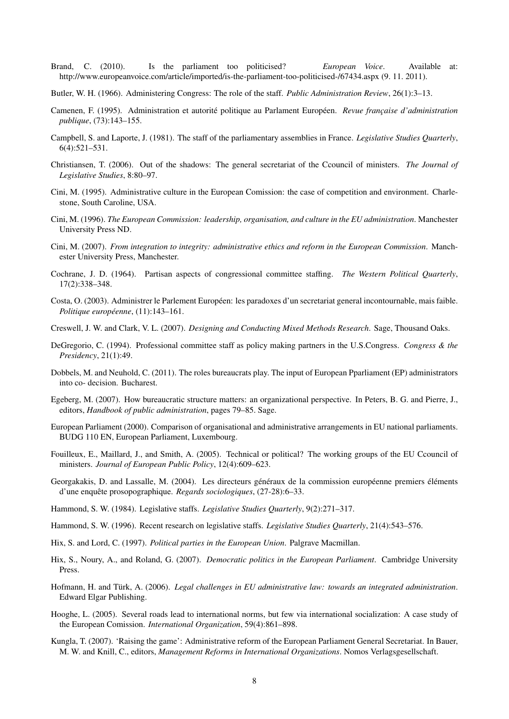- Brand, C. (2010). Is the parliament too politicised? *European Voice*. Available at: http://www.europeanvoice.com/article/imported/is-the-parliament-too-politicised-/67434.aspx (9. 11. 2011).
- Butler, W. H. (1966). Administering Congress: The role of the staff. *Public Administration Review*, 26(1):3–13.
- Camenen, F. (1995). Administration et autorité politique au Parlament Européen. *Revue française d'administration publique*, (73):143–155.
- Campbell, S. and Laporte, J. (1981). The staff of the parliamentary assemblies in France. *Legislative Studies Quarterly*, 6(4):521–531.
- Christiansen, T. (2006). Out of the shadows: The general secretariat of the Ccouncil of ministers. *The Journal of Legislative Studies*, 8:80–97.
- Cini, M. (1995). Administrative culture in the European Comission: the case of competition and environment. Charlestone, South Caroline, USA.
- Cini, M. (1996). *The European Commission: leadership, organisation, and culture in the EU administration*. Manchester University Press ND.
- Cini, M. (2007). *From integration to integrity: administrative ethics and reform in the European Commission*. Manchester University Press, Manchester.
- Cochrane, J. D. (1964). Partisan aspects of congressional committee staffing. *The Western Political Quarterly*, 17(2):338–348.
- Costa, O. (2003). Administrer le Parlement Européen: les paradoxes d'un secretariat general incontournable, mais faible. *Politique européenne*, (11):143–161.
- Creswell, J. W. and Clark, V. L. (2007). *Designing and Conducting Mixed Methods Research*. Sage, Thousand Oaks.
- DeGregorio, C. (1994). Professional committee staff as policy making partners in the U.S.Congress. *Congress & the Presidency*, 21(1):49.
- Dobbels, M. and Neuhold, C. (2011). The roles bureaucrats play. The input of European Pparliament (EP) administrators into co- decision. Bucharest.
- Egeberg, M. (2007). How bureaucratic structure matters: an organizational perspective. In Peters, B. G. and Pierre, J., editors, *Handbook of public administration*, pages 79–85. Sage.
- European Parliament (2000). Comparison of organisational and administrative arrangements in EU national parliaments. BUDG 110 EN, European Parliament, Luxembourg.
- Fouilleux, E., Maillard, J., and Smith, A. (2005). Technical or political? The working groups of the EU Ccouncil of ministers. *Journal of European Public Policy*, 12(4):609–623.
- Georgakakis, D. and Lassalle, M. (2004). Les directeurs généraux de la commission européenne premiers éléments d'une enquête prosopographique. *Regards sociologiques*, (27-28):6–33.
- Hammond, S. W. (1984). Legislative staffs. *Legislative Studies Quarterly*, 9(2):271–317.
- Hammond, S. W. (1996). Recent research on legislative staffs. *Legislative Studies Quarterly*, 21(4):543–576.
- Hix, S. and Lord, C. (1997). *Political parties in the European Union*. Palgrave Macmillan.
- Hix, S., Noury, A., and Roland, G. (2007). *Democratic politics in the European Parliament*. Cambridge University Press.
- Hofmann, H. and Türk, A. (2006). *Legal challenges in EU administrative law: towards an integrated administration*. Edward Elgar Publishing.
- Hooghe, L. (2005). Several roads lead to international norms, but few via international socialization: A case study of the European Comission. *International Organization*, 59(4):861–898.
- Kungla, T. (2007). 'Raising the game': Administrative reform of the European Parliament General Secretariat. In Bauer, M. W. and Knill, C., editors, *Management Reforms in International Organizations*. Nomos Verlagsgesellschaft.